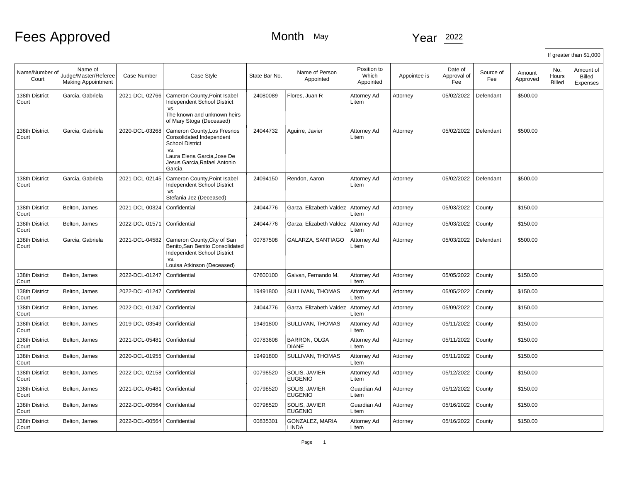# Fees Approved Month May Month May Year 2022

|                         |                                                              |                |                                                                                                                                                                   |               |                                 |                                   |              |                               |                  |                    |                               | If greater than \$1,000         |
|-------------------------|--------------------------------------------------------------|----------------|-------------------------------------------------------------------------------------------------------------------------------------------------------------------|---------------|---------------------------------|-----------------------------------|--------------|-------------------------------|------------------|--------------------|-------------------------------|---------------------------------|
| Name/Number of<br>Court | Name of<br>Judge/Master/Referee<br><b>Making Appointment</b> | Case Number    | Case Style                                                                                                                                                        | State Bar No. | Name of Person<br>Appointed     | Position to<br>Which<br>Appointed | Appointee is | Date of<br>Approval of<br>Fee | Source of<br>Fee | Amount<br>Approved | No.<br><b>Hours</b><br>Billed | Amount of<br>Billed<br>Expenses |
| 138th District<br>Court | Garcia, Gabriela                                             | 2021-DCL-02766 | Cameron County, Point Isabel<br><b>Independent School District</b><br>VS.<br>The known and unknown heirs<br>of Mary Stoga (Deceased)                              | 24080089      | Flores, Juan R                  | Attorney Ad<br>Litem              | Attorney     | 05/02/2022                    | Defendant        | \$500.00           |                               |                                 |
| 138th District<br>Court | Garcia, Gabriela                                             | 2020-DCL-03268 | Cameron County, Los Fresnos<br>Consolidated Independent<br><b>School District</b><br>VS.<br>Laura Elena Garcia, Jose De<br>Jesus Garcia, Rafael Antonio<br>Garcia | 24044732      | Aguirre, Javier                 | Attorney Ad<br>Litem              | Attorney     | 05/02/2022                    | Defendant        | \$500.00           |                               |                                 |
| 138th District<br>Court | Garcia, Gabriela                                             | 2021-DCL-02145 | Cameron County, Point Isabel<br><b>Independent School District</b><br>VS.<br>Stefania Jez (Deceased)                                                              | 24094150      | Rendon, Aaron                   | Attorney Ad<br>Litem              | Attorney     | 05/02/2022                    | Defendant        | \$500.00           |                               |                                 |
| 138th District<br>Court | Belton, James                                                | 2021-DCL-00324 | Confidential                                                                                                                                                      | 24044776      | Garza, Elizabeth Valdez         | Attorney Ad<br>Litem              | Attorney     | 05/03/2022                    | County           | \$150.00           |                               |                                 |
| 138th District<br>Court | Belton, James                                                | 2022-DCL-01571 | Confidential                                                                                                                                                      | 24044776      | Garza, Elizabeth Valdez         | Attorney Ad<br>Litem              | Attorney     | 05/03/2022                    | County           | \$150.00           |                               |                                 |
| 138th District<br>Court | Garcia, Gabriela                                             | 2021-DCL-04582 | Cameron County, City of San<br>Benito, San Benito Consolidated<br>Independent School District<br>VS.<br>Louisa Atkinson (Deceased)                                | 00787508      | GALARZA, SANTIAGO               | Attorney Ad<br>Litem              | Attorney     | 05/03/2022                    | Defendant        | \$500.00           |                               |                                 |
| 138th District<br>Court | Belton, James                                                | 2022-DCL-01247 | Confidential                                                                                                                                                      | 07600100      | Galvan, Fernando M.             | Attorney Ad<br>Litem              | Attorney     | 05/05/2022                    | County           | \$150.00           |                               |                                 |
| 138th District<br>Court | Belton, James                                                | 2022-DCL-01247 | Confidential                                                                                                                                                      | 19491800      | SULLIVAN, THOMAS                | Attorney Ad<br>Litem              | Attorney     | 05/05/2022                    | County           | \$150.00           |                               |                                 |
| 138th District<br>Court | Belton, James                                                | 2022-DCL-01247 | Confidential                                                                                                                                                      | 24044776      | Garza, Elizabeth Valdez         | Attorney Ad<br>Litem              | Attorney     | 05/09/2022                    | County           | \$150.00           |                               |                                 |
| 138th District<br>Court | Belton, James                                                | 2019-DCL-03549 | Confidential                                                                                                                                                      | 19491800      | SULLIVAN, THOMAS                | Attorney Ad<br>Litem              | Attorney     | 05/11/2022                    | County           | \$150.00           |                               |                                 |
| 138th District<br>Court | Belton, James                                                | 2021-DCL-05481 | Confidential                                                                                                                                                      | 00783608      | <b>BARRON, OLGA</b><br>DIANE    | Attorney Ad<br>Litem              | Attorney     | 05/11/2022                    | County           | \$150.00           |                               |                                 |
| 138th District<br>Court | Belton, James                                                | 2020-DCL-01955 | Confidential                                                                                                                                                      | 19491800      | SULLIVAN, THOMAS                | Attorney Ad<br>Litem              | Attorney     | 05/11/2022                    | County           | \$150.00           |                               |                                 |
| 138th District<br>Court | Belton, James                                                | 2022-DCL-02158 | Confidential                                                                                                                                                      | 00798520      | SOLIS, JAVIER<br><b>EUGENIO</b> | Attorney Ad<br>Litem              | Attornev     | 05/12/2022                    | County           | \$150.00           |                               |                                 |
| 138th District<br>Court | Belton, James                                                | 2021-DCL-05481 | Confidential                                                                                                                                                      | 00798520      | SOLIS, JAVIER<br><b>EUGENIO</b> | Guardian Ad<br>Litem              | Attorney     | 05/12/2022                    | County           | \$150.00           |                               |                                 |
| 138th District<br>Court | Belton, James                                                | 2022-DCL-00564 | Confidential                                                                                                                                                      | 00798520      | SOLIS, JAVIER<br><b>EUGENIO</b> | Guardian Ad<br>Litem              | Attorney     | 05/16/2022                    | County           | \$150.00           |                               |                                 |
| 138th District<br>Court | Belton, James                                                | 2022-DCL-00564 | Confidential                                                                                                                                                      | 00835301      | GONZALEZ, MARIA<br>LINDA        | Attorney Ad<br>Litem              | Attorney     | 05/16/2022                    | County           | \$150.00           |                               |                                 |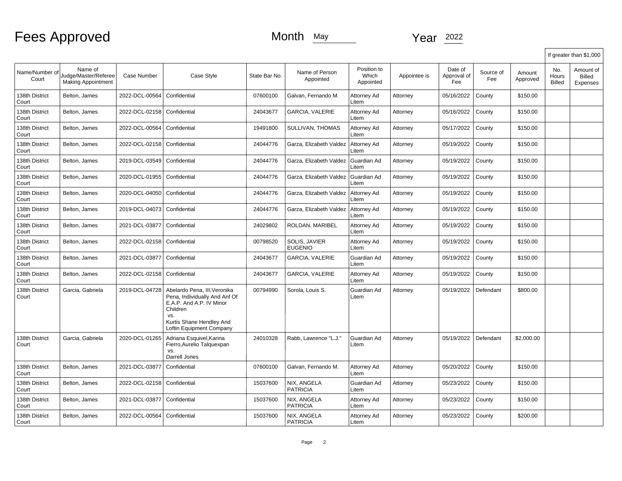|                         |                                                              |                    |                                                                                                                                                                      |               |                                 |                                   |              |                               |                  |                    |                        | If greater than \$1,000                |
|-------------------------|--------------------------------------------------------------|--------------------|----------------------------------------------------------------------------------------------------------------------------------------------------------------------|---------------|---------------------------------|-----------------------------------|--------------|-------------------------------|------------------|--------------------|------------------------|----------------------------------------|
| Name/Number of<br>Court | Name of<br>Judge/Master/Referee<br><b>Making Appointment</b> | <b>Case Number</b> | Case Style                                                                                                                                                           | State Bar No. | Name of Person<br>Appointed     | Position to<br>Which<br>Appointed | Appointee is | Date of<br>Approval of<br>Fee | Source of<br>Fee | Amount<br>Approved | No.<br>Hours<br>Billed | Amount of<br><b>Billed</b><br>Expenses |
| 138th District<br>Court | Belton, James                                                | 2022-DCL-00564     | Confidential                                                                                                                                                         | 07600100      | Galvan, Fernando M.             | Attorney Ad<br>Litem              | Attorney     | 05/16/2022                    | County           | \$150.00           |                        |                                        |
| 138th District<br>Court | Belton, James                                                | 2022-DCL-02158     | Confidential                                                                                                                                                         | 24043677      | GARCIA, VALERIE                 | Attorney Ad<br>Litem              | Attorney     | 05/16/2022                    | County           | \$150.00           |                        |                                        |
| 138th District<br>Court | Belton, James                                                | 2022-DCL-00564     | Confidential                                                                                                                                                         | 19491800      | SULLIVAN, THOMAS                | Attorney Ad<br>Litem              | Attorney     | 05/17/2022                    | County           | \$150.00           |                        |                                        |
| 138th District<br>Court | Belton, James                                                | 2022-DCL-02158     | Confidential                                                                                                                                                         | 24044776      | Garza, Elizabeth Valdez         | Attorney Ad<br>Litem              | Attorney     | 05/19/2022                    | County           | \$150.00           |                        |                                        |
| 138th District<br>Court | Belton, James                                                | 2019-DCL-03549     | Confidential                                                                                                                                                         | 24044776      | Garza, Elizabeth Valdez         | Guardian Ad<br>Litem              | Attorney     | 05/19/2022                    | County           | \$150.00           |                        |                                        |
| 138th District<br>Court | Belton, James                                                | 2020-DCL-01955     | Confidential                                                                                                                                                         | 24044776      | Garza, Elizabeth Valdez         | Guardian Ad<br>Litem              | Attorney     | 05/19/2022                    | County           | \$150.00           |                        |                                        |
| 138th District<br>Court | Belton, James                                                | 2020-DCL-04050     | Confidential                                                                                                                                                         | 24044776      | Garza, Elizabeth Valdez         | Attorney Ad<br>Litem              | Attorney     | 05/19/2022                    | County           | \$150.00           |                        |                                        |
| 138th District<br>Court | Belton, James                                                | 2019-DCL-04073     | Confidential                                                                                                                                                         | 24044776      | Garza, Elizabeth Valdez         | Attorney Ad<br>Litem              | Attorney     | 05/19/2022                    | County           | \$150.00           |                        |                                        |
| 138th District<br>Court | Belton, James                                                | 2021-DCL-03877     | Confidential                                                                                                                                                         | 24029802      | ROLDAN, MARIBEL                 | Attorney Ad<br>Litem              | Attorney     | 05/19/2022                    | County           | \$150.00           |                        |                                        |
| 138th District<br>Court | Belton, James                                                | 2022-DCL-02158     | Confidential                                                                                                                                                         | 00798520      | SOLIS, JAVIER<br><b>EUGENIO</b> | Attorney Ad<br>Litem              | Attorney     | 05/19/2022                    | County           | \$150.00           |                        |                                        |
| 138th District<br>Court | Belton, James                                                | 2021-DCL-03877     | Confidential                                                                                                                                                         | 24043677      | GARCIA, VALERIE                 | Guardian Ad<br>Litem              | Attorney     | 05/19/2022                    | County           | \$150.00           |                        |                                        |
| 138th District<br>Court | Belton, James                                                | 2022-DCL-02158     | Confidential                                                                                                                                                         | 24043677      | GARCIA, VALERIE                 | Attorney Ad<br>Litem              | Attorney     | 05/19/2022                    | County           | \$150.00           |                        |                                        |
| 138th District<br>Court | Garcia, Gabriela                                             | 2019-DCL-04728     | Abelardo Pena, III, Veronika<br>Pena, Individually And Anf Of<br>E.A.P. And A.P. IV Minor<br>Children<br>VS.<br>Kurtis Shane Hendley And<br>Loftin Equipment Company | 00794990      | Sorola, Louis S.                | Guardian Ad<br>Litem              | Attorney     | 05/19/2022                    | Defendant        | \$800.00           |                        |                                        |
| 138th District<br>Court | Garcia, Gabriela                                             | 2020-DCL-01265     | Adriana Esquivel, Karina<br>Fierro, Aurelio Talquexpan<br>VS.<br>Darrell Jones                                                                                       | 24010328      | Rabb, Lawrence "L.J."           | Guardian Ad<br>Litem              | Attorney     | 05/19/2022                    | Defendant        | \$2,000.00         |                        |                                        |
| 138th District<br>Court | Belton, James                                                | 2021-DCL-03877     | Confidential                                                                                                                                                         | 07600100      | Galvan, Fernando M.             | Attorney Ad<br>Litem              | Attorney     | 05/20/2022                    | County           | \$150.00           |                        |                                        |
| 138th District<br>Court | Belton, James                                                | 2022-DCL-02158     | Confidential                                                                                                                                                         | 15037600      | NIX. ANGELA<br><b>PATRICIA</b>  | Guardian Ad<br>Litem              | Attorney     | 05/23/2022                    | County           | \$150.00           |                        |                                        |
| 138th District<br>Court | Belton, James                                                | 2021-DCL-03877     | Confidential                                                                                                                                                         | 15037600      | NIX, ANGELA<br><b>PATRICIA</b>  | Attorney Ad<br>Litem              | Attorney     | 05/23/2022                    | County           | \$150.00           |                        |                                        |
| 138th District<br>Court | Belton, James                                                | 2022-DCL-00564     | Confidential                                                                                                                                                         | 15037600      | NIX, ANGELA<br><b>PATRICIA</b>  | Attorney Ad<br>Litem              | Attorney     | 05/23/2022                    | County           | \$200.00           |                        |                                        |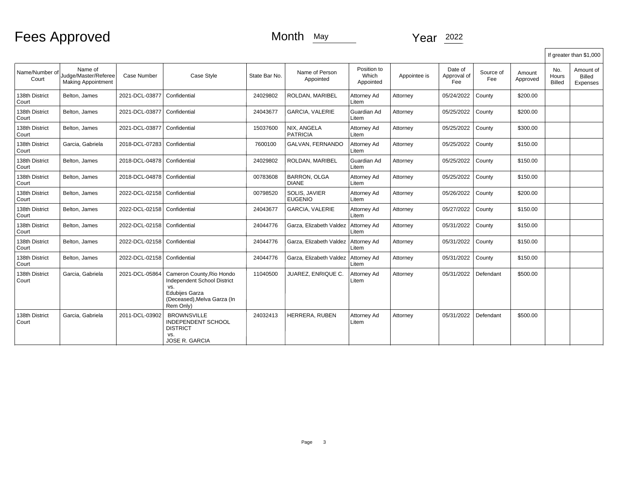|                         |                                                              |                               |                                                                                                                                      |               |                                     |                                   |              |                               |                  |                    |                               | If greater than \$1,000         |
|-------------------------|--------------------------------------------------------------|-------------------------------|--------------------------------------------------------------------------------------------------------------------------------------|---------------|-------------------------------------|-----------------------------------|--------------|-------------------------------|------------------|--------------------|-------------------------------|---------------------------------|
| Name/Number of<br>Court | Name of<br>Judge/Master/Referee<br><b>Making Appointment</b> | Case Number                   | Case Style                                                                                                                           | State Bar No. | Name of Person<br>Appointed         | Position to<br>Which<br>Appointed | Appointee is | Date of<br>Approval of<br>Fee | Source of<br>Fee | Amount<br>Approved | No.<br>Hours<br><b>Billed</b> | Amount of<br>Billed<br>Expenses |
| 138th District<br>Court | Belton, James                                                | 2021-DCL-03877                | Confidential                                                                                                                         | 24029802      | ROLDAN, MARIBEL                     | Attorney Ad<br>Litem              | Attorney     | 05/24/2022                    | County           | \$200.00           |                               |                                 |
| 138th District<br>Court | Belton, James                                                | 2021-DCL-03877                | Confidential                                                                                                                         | 24043677      | <b>GARCIA, VALERIE</b>              | Guardian Ad<br>Litem              | Attorney     | 05/25/2022                    | County           | \$200.00           |                               |                                 |
| 138th District<br>Court | Belton, James                                                | 2021-DCL-03877                | Confidential                                                                                                                         | 15037600      | NIX, ANGELA<br><b>PATRICIA</b>      | Attorney Ad<br>Litem              | Attorney     | 05/25/2022                    | County           | \$300.00           |                               |                                 |
| 138th District<br>Court | Garcia, Gabriela                                             | 2018-DCL-07283                | Confidential                                                                                                                         | 7600100       | GALVAN. FERNANDO                    | Attorney Ad<br>Litem              | Attorney     | 05/25/2022                    | County           | \$150.00           |                               |                                 |
| 138th District<br>Court | Belton, James                                                | 2018-DCL-04878                | Confidential                                                                                                                         | 24029802      | ROLDAN, MARIBEL                     | Guardian Ad<br>Litem              | Attorney     | 05/25/2022                    | County           | \$150.00           |                               |                                 |
| 138th District<br>Court | Belton, James                                                | 2018-DCL-04878   Confidential |                                                                                                                                      | 00783608      | <b>BARRON, OLGA</b><br><b>DIANE</b> | Attorney Ad<br>Litem              | Attorney     | 05/25/2022                    | County           | \$150.00           |                               |                                 |
| 138th District<br>Court | Belton, James                                                | 2022-DCL-02158   Confidential |                                                                                                                                      | 00798520      | SOLIS, JAVIER<br><b>EUGENIO</b>     | Attorney Ad<br>Litem              | Attorney     | 05/26/2022                    | County           | \$200.00           |                               |                                 |
| 138th District<br>Court | Belton, James                                                | 2022-DCL-02158   Confidential |                                                                                                                                      | 24043677      | <b>GARCIA, VALERIE</b>              | Attorney Ad<br>Litem              | Attorney     | 05/27/2022                    | County           | \$150.00           |                               |                                 |
| 138th District<br>Court | Belton, James                                                | 2022-DCL-02158   Confidential |                                                                                                                                      | 24044776      | Garza, Elizabeth Valdez             | Attorney Ad<br>Litem              | Attorney     | 05/31/2022                    | County           | \$150.00           |                               |                                 |
| 138th District<br>Court | Belton, James                                                | 2022-DCL-02158   Confidential |                                                                                                                                      | 24044776      | Garza, Elizabeth Valdez             | Attorney Ad<br>Litem              | Attorney     | 05/31/2022                    | County           | \$150.00           |                               |                                 |
| 138th District<br>Court | Belton, James                                                | 2022-DCL-02158   Confidential |                                                                                                                                      | 24044776      | Garza, Elizabeth Valdez             | Attorney Ad<br>Litem              | Attorney     | 05/31/2022                    | County           | \$150.00           |                               |                                 |
| 138th District<br>Court | Garcia, Gabriela                                             | 2021-DCL-05864                | Cameron County, Rio Hondo<br>Independent School District<br>VS.<br><b>Edubiies Garza</b><br>(Deceased), Melva Garza (In<br>Rem Only) | 11040500      | JUAREZ, ENRIQUE C.                  | Attorney Ad<br>Litem              | Attorney     | 05/31/2022                    | Defendant        | \$500.00           |                               |                                 |
| 138th District<br>Court | Garcia, Gabriela                                             | 2011-DCL-03902                | <b>BROWNSVILLE</b><br>INDEPENDENT SCHOOL<br><b>DISTRICT</b><br>VS.<br><b>JOSE R. GARCIA</b>                                          | 24032413      | HERRERA, RUBEN                      | Attorney Ad<br>Litem              | Attorney     | 05/31/2022                    | Defendant        | \$500.00           |                               |                                 |